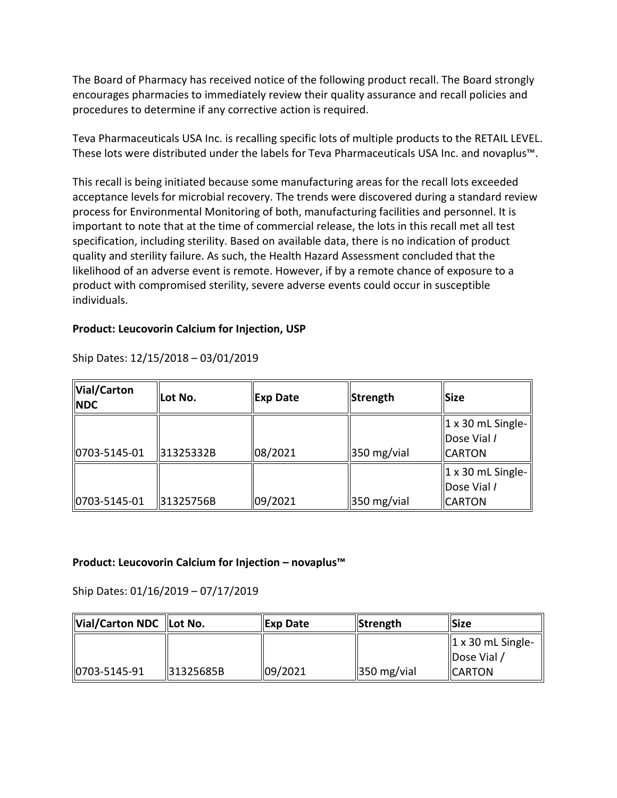The Board of Pharmacy has received notice of the following product recall. The Board strongly encourages pharmacies to immediately review their quality assurance and recall policies and procedures to determine if any corrective action is required.

 These lots were distributed under the labels for Teva Pharmaceuticals USA Inc. and novaplus™. Teva Pharmaceuticals USA Inc. is recalling specific lots of multiple products to the RETAIL LEVEL.

 This recall is being initiated because some manufacturing areas for the recall lots exceeded acceptance levels for microbial recovery. The trends were discovered during a standard review process for Environmental Monitoring of both, manufacturing facilities and personnel. It is important to note that at the time of commercial release, the lots in this recall met all test specification, including sterility. Based on available data, there is no indication of product quality and sterility failure. As such, the Health Hazard Assessment concluded that the likelihood of an adverse event is remote. However, if by a remote chance of exposure to a product with compromised sterility, severe adverse events could occur in susceptible individuals.

#### **Product: Leucovorin Calcium for Injection, USP**

| Vial/Carton<br><b>NDC</b> | lLot No.  | Exp Date | Strength                | <b>Size</b>                                                |
|---------------------------|-----------|----------|-------------------------|------------------------------------------------------------|
| $ 0703 - 5145 - 01$       | 31325332B | 08/2021  | $\parallel$ 350 mg/vial | $\vert$ 1 x 30 mL Single-<br>Dose Vial /<br><b>ICARTON</b> |
| $ 0703 - 5145 - 01$       | 31325756B | 09/2021  | $\parallel$ 350 mg/vial | $\vert$ 1 x 30 mL Single-<br>Dose Vial /<br><b>CARTON</b>  |

Ship Dates: 12/15/2018 – 03/01/2019

### **Product: Leucovorin Calcium for Injection – novaplus™**

Ship Dates: 01/16/2019 – 07/17/2019

| Vial/Carton NDC  Lot No. |           | <b>Exp Date</b> | <b>Strength</b>         | <b>ISize</b>                  |
|--------------------------|-----------|-----------------|-------------------------|-------------------------------|
|                          |           |                 |                         | $\parallel$ 1 x 30 mL Single- |
|                          |           |                 |                         | Dose Vial /                   |
| 0703-5145-91             | 31325685B | 09/2021         | $\parallel$ 350 mg/vial | <b>ICARTON</b>                |